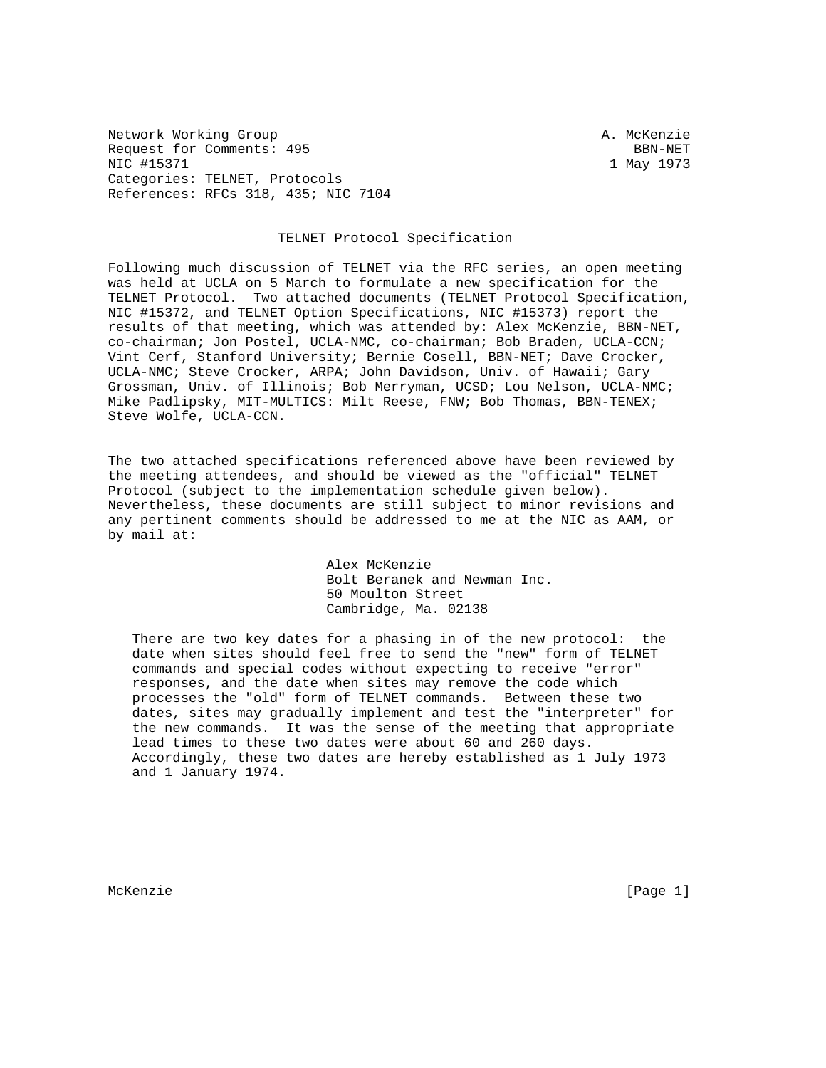Network Working Group and A. McKenzie Request for Comments: 495 BBN-NET NIC #15371 1 May 1973 Categories: TELNET, Protocols References: RFCs 318, 435; NIC 7104

## TELNET Protocol Specification

Following much discussion of TELNET via the RFC series, an open meeting was held at UCLA on 5 March to formulate a new specification for the TELNET Protocol. Two attached documents (TELNET Protocol Specification, NIC #15372, and TELNET Option Specifications, NIC #15373) report the results of that meeting, which was attended by: Alex McKenzie, BBN-NET, co-chairman; Jon Postel, UCLA-NMC, co-chairman; Bob Braden, UCLA-CCN; Vint Cerf, Stanford University; Bernie Cosell, BBN-NET; Dave Crocker, UCLA-NMC; Steve Crocker, ARPA; John Davidson, Univ. of Hawaii; Gary Grossman, Univ. of Illinois; Bob Merryman, UCSD; Lou Nelson, UCLA-NMC; Mike Padlipsky, MIT-MULTICS: Milt Reese, FNW; Bob Thomas, BBN-TENEX; Steve Wolfe, UCLA-CCN.

The two attached specifications referenced above have been reviewed by the meeting attendees, and should be viewed as the "official" TELNET Protocol (subject to the implementation schedule given below). Nevertheless, these documents are still subject to minor revisions and any pertinent comments should be addressed to me at the NIC as AAM, or by mail at:

> Alex McKenzie Bolt Beranek and Newman Inc. 50 Moulton Street Cambridge, Ma. 02138

 There are two key dates for a phasing in of the new protocol: the date when sites should feel free to send the "new" form of TELNET commands and special codes without expecting to receive "error" responses, and the date when sites may remove the code which processes the "old" form of TELNET commands. Between these two dates, sites may gradually implement and test the "interpreter" for the new commands. It was the sense of the meeting that appropriate lead times to these two dates were about 60 and 260 days. Accordingly, these two dates are hereby established as 1 July 1973 and 1 January 1974.

McKenzie [Page 1]